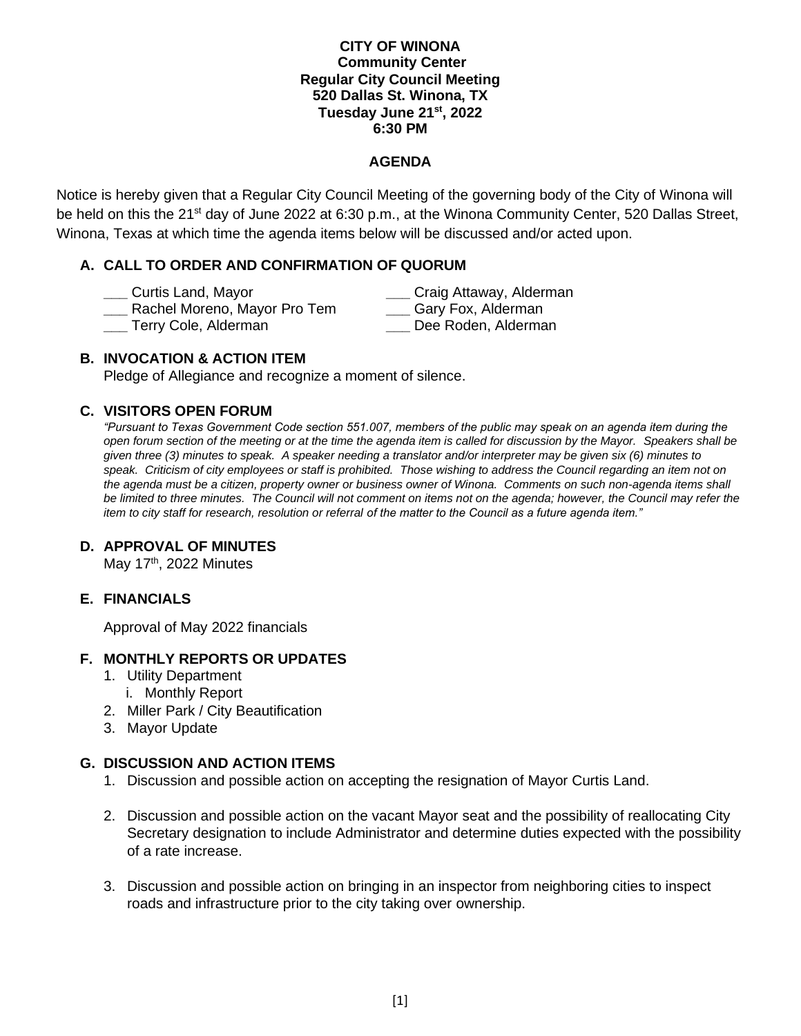### **CITY OF WINONA Community Center Regular City Council Meeting 520 Dallas St. Winona, TX Tuesday June 21 st, 2022 6:30 PM**

### **AGENDA**

Notice is hereby given that a Regular City Council Meeting of the governing body of the City of Winona will be held on this the 21<sup>st</sup> day of June 2022 at 6:30 p.m., at the Winona Community Center, 520 Dallas Street, Winona, Texas at which time the agenda items below will be discussed and/or acted upon.

# **A. CALL TO ORDER AND CONFIRMATION OF QUORUM**

| Curtis Land, Mayor           | Craig Attaway, Alderman |
|------------------------------|-------------------------|
| Rachel Moreno, Mayor Pro Tem | Gary Fox, Alderman      |
| Terry Cole, Alderman         | Dee Roden, Alderman     |

# **B. INVOCATION & ACTION ITEM**

Pledge of Allegiance and recognize a moment of silence.

# **C. VISITORS OPEN FORUM**

*"Pursuant to Texas Government Code section 551.007, members of the public may speak on an agenda item during the open forum section of the meeting or at the time the agenda item is called for discussion by the Mayor. Speakers shall be given three (3) minutes to speak. A speaker needing a translator and/or interpreter may be given six (6) minutes to speak. Criticism of city employees or staff is prohibited. Those wishing to address the Council regarding an item not on the agenda must be a citizen, property owner or business owner of Winona. Comments on such non-agenda items shall be limited to three minutes. The Council will not comment on items not on the agenda; however, the Council may refer the item to city staff for research, resolution or referral of the matter to the Council as a future agenda item."* 

# **D. APPROVAL OF MINUTES**

May 17<sup>th</sup>, 2022 Minutes

# **E. FINANCIALS**

Approval of May 2022 financials

# **F. MONTHLY REPORTS OR UPDATES**

- 1. Utility Department
	- i. Monthly Report
- 2. Miller Park / City Beautification
- 3. Mayor Update

# **G. DISCUSSION AND ACTION ITEMS**

- 1. Discussion and possible action on accepting the resignation of Mayor Curtis Land.
- 2. Discussion and possible action on the vacant Mayor seat and the possibility of reallocating City Secretary designation to include Administrator and determine duties expected with the possibility of a rate increase.
- 3. Discussion and possible action on bringing in an inspector from neighboring cities to inspect roads and infrastructure prior to the city taking over ownership.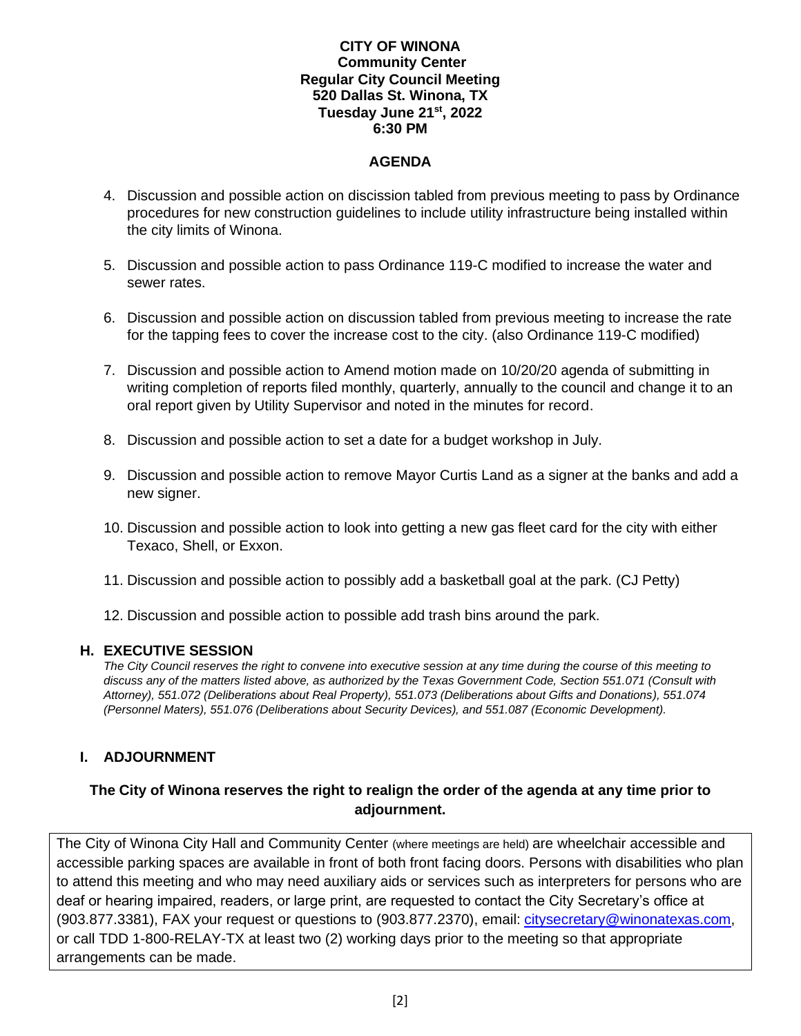## **CITY OF WINONA Community Center Regular City Council Meeting 520 Dallas St. Winona, TX Tuesday June 21 st, 2022 6:30 PM**

# **AGENDA**

- 4. Discussion and possible action on discission tabled from previous meeting to pass by Ordinance procedures for new construction guidelines to include utility infrastructure being installed within the city limits of Winona.
- 5. Discussion and possible action to pass Ordinance 119-C modified to increase the water and sewer rates.
- 6. Discussion and possible action on discussion tabled from previous meeting to increase the rate for the tapping fees to cover the increase cost to the city. (also Ordinance 119-C modified)
- 7. Discussion and possible action to Amend motion made on 10/20/20 agenda of submitting in writing completion of reports filed monthly, quarterly, annually to the council and change it to an oral report given by Utility Supervisor and noted in the minutes for record.
- 8. Discussion and possible action to set a date for a budget workshop in July.
- 9. Discussion and possible action to remove Mayor Curtis Land as a signer at the banks and add a new signer.
- 10. Discussion and possible action to look into getting a new gas fleet card for the city with either Texaco, Shell, or Exxon.
- 11. Discussion and possible action to possibly add a basketball goal at the park. (CJ Petty)
- 12. Discussion and possible action to possible add trash bins around the park.

#### **H. EXECUTIVE SESSION**

*The City Council reserves the right to convene into executive session at any time during the course of this meeting to discuss any of the matters listed above, as authorized by the Texas Government Code, Section 551.071 (Consult with Attorney), 551.072 (Deliberations about Real Property), 551.073 (Deliberations about Gifts and Donations), 551.074 (Personnel Maters), 551.076 (Deliberations about Security Devices), and 551.087 (Economic Development).* 

# **I. ADJOURNMENT**

# **The City of Winona reserves the right to realign the order of the agenda at any time prior to adjournment.**

The City of Winona City Hall and Community Center (where meetings are held) are wheelchair accessible and accessible parking spaces are available in front of both front facing doors. Persons with disabilities who plan to attend this meeting and who may need auxiliary aids or services such as interpreters for persons who are deaf or hearing impaired, readers, or large print, are requested to contact the City Secretary's office at (903.877.3381), FAX your request or questions to (903.877.2370), email: [citysecretary@winonatexas.com,](mailto:citysecretary@winonatexas.com) or call TDD 1-800-RELAY-TX at least two (2) working days prior to the meeting so that appropriate arrangements can be made.